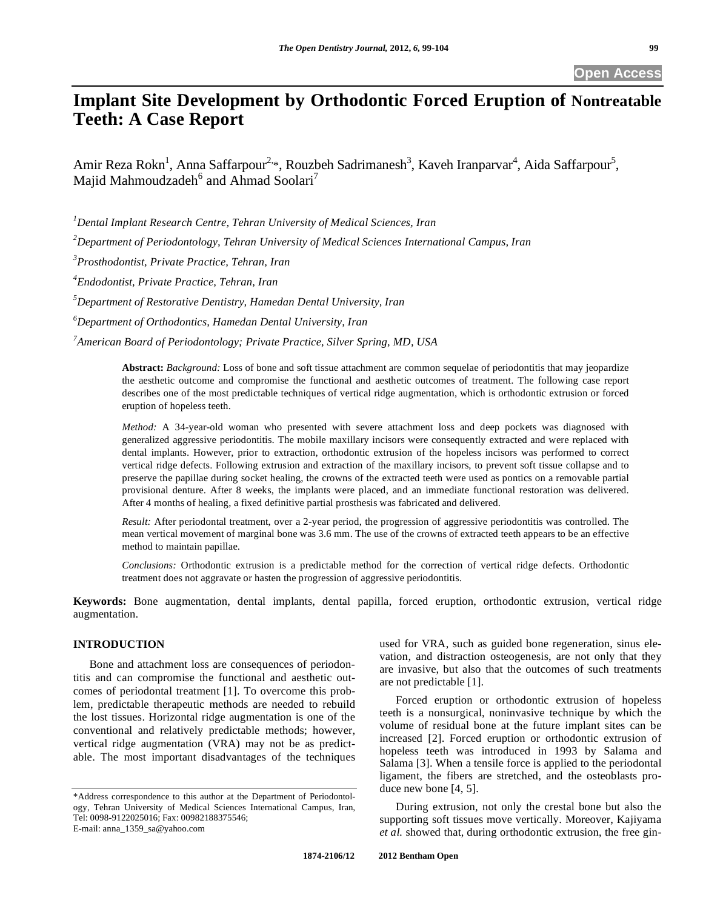# **Implant Site Development by Orthodontic Forced Eruption of Nontreatable Teeth: A Case Report**

Amir Reza Rokn<sup>1</sup>, Anna Saffarpour<sup>2,\*</sup>, Rouzbeh Sadrimanesh<sup>3</sup>, Kaveh Iranparvar<sup>4</sup>, Aida Saffarpour<sup>5</sup>, Majid Mahmoudzadeh $^6$  and Ahmad Soolari $^7$ 

*1 Dental Implant Research Centre, Tehran University of Medical Sciences, Iran* 

*2 Department of Periodontology, Tehran University of Medical Sciences International Campus, Iran*

*3 Prosthodontist, Private Practice, Tehran, Iran* 

*4 Endodontist, Private Practice, Tehran, Iran* 

*5 Department of Restorative Dentistry, Hamedan Dental University, Iran* 

*6 Department of Orthodontics, Hamedan Dental University, Iran* 

*7 American Board of Periodontology; Private Practice, Silver Spring, MD, USA* 

**Abstract:** *Background:* Loss of bone and soft tissue attachment are common sequelae of periodontitis that may jeopardize the aesthetic outcome and compromise the functional and aesthetic outcomes of treatment. The following case report describes one of the most predictable techniques of vertical ridge augmentation, which is orthodontic extrusion or forced eruption of hopeless teeth.

*Method:* A 34-year-old woman who presented with severe attachment loss and deep pockets was diagnosed with generalized aggressive periodontitis. The mobile maxillary incisors were consequently extracted and were replaced with dental implants. However, prior to extraction, orthodontic extrusion of the hopeless incisors was performed to correct vertical ridge defects. Following extrusion and extraction of the maxillary incisors, to prevent soft tissue collapse and to preserve the papillae during socket healing, the crowns of the extracted teeth were used as pontics on a removable partial provisional denture. After 8 weeks, the implants were placed, and an immediate functional restoration was delivered. After 4 months of healing, a fixed definitive partial prosthesis was fabricated and delivered.

*Result:* After periodontal treatment, over a 2-year period, the progression of aggressive periodontitis was controlled. The mean vertical movement of marginal bone was 3.6 mm. The use of the crowns of extracted teeth appears to be an effective method to maintain papillae.

*Conclusions:* Orthodontic extrusion is a predictable method for the correction of vertical ridge defects. Orthodontic treatment does not aggravate or hasten the progression of aggressive periodontitis.

**Keywords:** Bone augmentation, dental implants, dental papilla, forced eruption, orthodontic extrusion, vertical ridge augmentation.

## **INTRODUCTION**

Bone and attachment loss are consequences of periodontitis and can compromise the functional and aesthetic outcomes of periodontal treatment [1]. To overcome this problem, predictable therapeutic methods are needed to rebuild the lost tissues. Horizontal ridge augmentation is one of the conventional and relatively predictable methods; however, vertical ridge augmentation (VRA) may not be as predictable. The most important disadvantages of the techniques

used for VRA, such as guided bone regeneration, sinus elevation, and distraction osteogenesis, are not only that they are invasive, but also that the outcomes of such treatments are not predictable [1].

Forced eruption or orthodontic extrusion of hopeless teeth is a nonsurgical, noninvasive technique by which the volume of residual bone at the future implant sites can be increased [2]. Forced eruption or orthodontic extrusion of hopeless teeth was introduced in 1993 by Salama and Salama [3]. When a tensile force is applied to the periodontal ligament, the fibers are stretched, and the osteoblasts produce new bone [4, 5].

During extrusion, not only the crestal bone but also the supporting soft tissues move vertically. Moreover, Kajiyama *et al.* showed that, during orthodontic extrusion, the free gin-

<sup>\*</sup>Address correspondence to this author at the Department of Periodontology, Tehran University of Medical Sciences International Campus, Iran, Tel: 0098-9122025016; Fax: 00982188375546; E-mail: anna\_1359\_sa@yahoo.com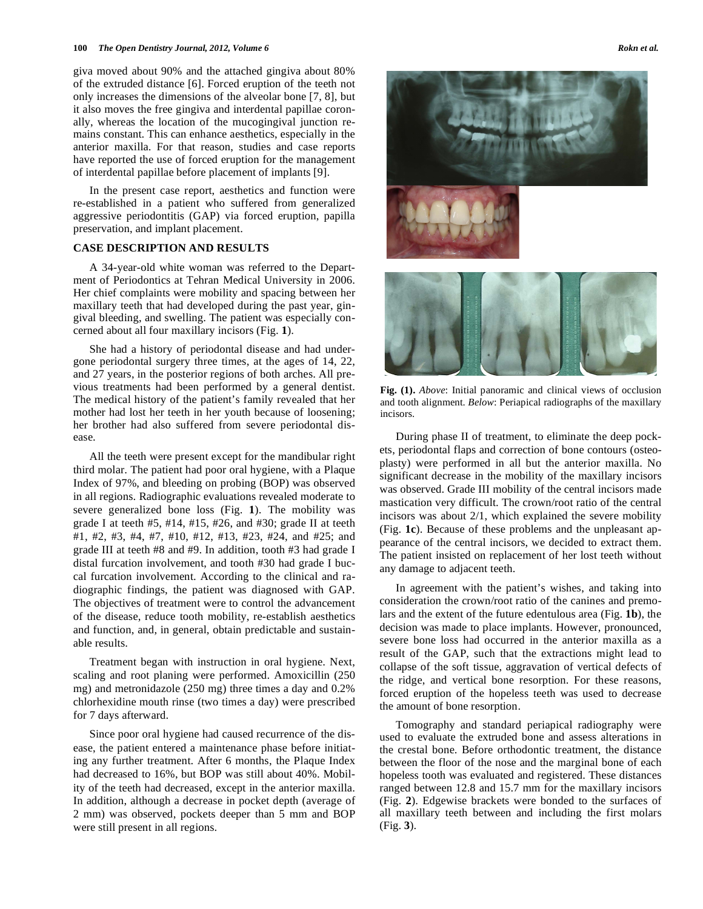#### **100** *The Open Dentistry Journal, 2012, Volume 6* **<b>***Rokn et al. Rokn et al.*

giva moved about 90% and the attached gingiva about 80% of the extruded distance [6]. Forced eruption of the teeth not only increases the dimensions of the alveolar bone [7, 8], but it also moves the free gingiva and interdental papillae coronally, whereas the location of the mucogingival junction remains constant. This can enhance aesthetics, especially in the anterior maxilla. For that reason, studies and case reports have reported the use of forced eruption for the management of interdental papillae before placement of implants [9].

In the present case report, aesthetics and function were re-established in a patient who suffered from generalized aggressive periodontitis (GAP) via forced eruption, papilla preservation, and implant placement.

### **CASE DESCRIPTION AND RESULTS**

A 34-year-old white woman was referred to the Department of Periodontics at Tehran Medical University in 2006. Her chief complaints were mobility and spacing between her maxillary teeth that had developed during the past year, gingival bleeding, and swelling. The patient was especially concerned about all four maxillary incisors (Fig. **1**).

She had a history of periodontal disease and had undergone periodontal surgery three times, at the ages of 14, 22, and 27 years, in the posterior regions of both arches. All previous treatments had been performed by a general dentist. The medical history of the patient's family revealed that her mother had lost her teeth in her youth because of loosening; her brother had also suffered from severe periodontal disease.

All the teeth were present except for the mandibular right third molar. The patient had poor oral hygiene, with a Plaque Index of 97%, and bleeding on probing (BOP) was observed in all regions. Radiographic evaluations revealed moderate to severe generalized bone loss (Fig. **1**). The mobility was grade I at teeth #5, #14, #15, #26, and #30; grade II at teeth #1, #2, #3, #4, #7, #10, #12, #13, #23, #24, and #25; and grade III at teeth #8 and #9. In addition, tooth #3 had grade I distal furcation involvement, and tooth #30 had grade I buccal furcation involvement. According to the clinical and radiographic findings, the patient was diagnosed with GAP. The objectives of treatment were to control the advancement of the disease, reduce tooth mobility, re-establish aesthetics and function, and, in general, obtain predictable and sustainable results.

Treatment began with instruction in oral hygiene. Next, scaling and root planing were performed. Amoxicillin (250 mg) and metronidazole (250 mg) three times a day and 0.2% chlorhexidine mouth rinse (two times a day) were prescribed for 7 days afterward.

Since poor oral hygiene had caused recurrence of the disease, the patient entered a maintenance phase before initiating any further treatment. After 6 months, the Plaque Index had decreased to 16%, but BOP was still about 40%. Mobility of the teeth had decreased, except in the anterior maxilla. In addition, although a decrease in pocket depth (average of 2 mm) was observed, pockets deeper than 5 mm and BOP were still present in all regions.



**Fig. (1).** *Above*: Initial panoramic and clinical views of occlusion and tooth alignment. *Below*: Periapical radiographs of the maxillary incisors.

During phase II of treatment, to eliminate the deep pockets, periodontal flaps and correction of bone contours (osteoplasty) were performed in all but the anterior maxilla. No significant decrease in the mobility of the maxillary incisors was observed. Grade III mobility of the central incisors made mastication very difficult. The crown/root ratio of the central incisors was about 2/1, which explained the severe mobility (Fig. **1c**). Because of these problems and the unpleasant appearance of the central incisors, we decided to extract them. The patient insisted on replacement of her lost teeth without any damage to adjacent teeth.

In agreement with the patient's wishes, and taking into consideration the crown/root ratio of the canines and premolars and the extent of the future edentulous area (Fig. **1b**), the decision was made to place implants. However, pronounced, severe bone loss had occurred in the anterior maxilla as a result of the GAP, such that the extractions might lead to collapse of the soft tissue, aggravation of vertical defects of the ridge, and vertical bone resorption. For these reasons, forced eruption of the hopeless teeth was used to decrease the amount of bone resorption.

Tomography and standard periapical radiography were used to evaluate the extruded bone and assess alterations in the crestal bone. Before orthodontic treatment, the distance between the floor of the nose and the marginal bone of each hopeless tooth was evaluated and registered. These distances ranged between 12.8 and 15.7 mm for the maxillary incisors (Fig. **2**). Edgewise brackets were bonded to the surfaces of all maxillary teeth between and including the first molars (Fig. **3**).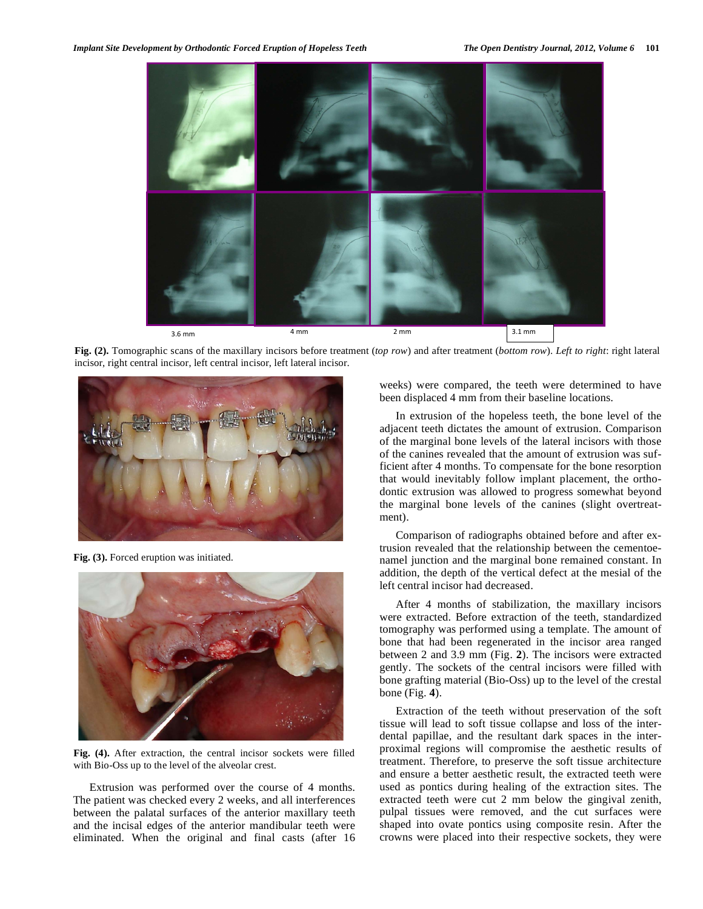

**Fig. (2).** Tomographic scans of the maxillary incisors before treatment (*top row*) and after treatment (*bottom row*). *Left to right*: right lateral incisor, right central incisor, left central incisor, left lateral incisor.



**Fig. (3).** Forced eruption was initiated.



**Fig. (4).** After extraction, the central incisor sockets were filled with Bio-Oss up to the level of the alveolar crest.

Extrusion was performed over the course of 4 months. The patient was checked every 2 weeks, and all interferences between the palatal surfaces of the anterior maxillary teeth and the incisal edges of the anterior mandibular teeth were eliminated. When the original and final casts (after 16 weeks) were compared, the teeth were determined to have been displaced 4 mm from their baseline locations.

In extrusion of the hopeless teeth, the bone level of the adjacent teeth dictates the amount of extrusion. Comparison of the marginal bone levels of the lateral incisors with those of the canines revealed that the amount of extrusion was sufficient after 4 months. To compensate for the bone resorption that would inevitably follow implant placement, the orthodontic extrusion was allowed to progress somewhat beyond the marginal bone levels of the canines (slight overtreatment).

Comparison of radiographs obtained before and after extrusion revealed that the relationship between the cementoenamel junction and the marginal bone remained constant. In addition, the depth of the vertical defect at the mesial of the left central incisor had decreased.

After 4 months of stabilization, the maxillary incisors were extracted. Before extraction of the teeth, standardized tomography was performed using a template. The amount of bone that had been regenerated in the incisor area ranged between 2 and 3.9 mm (Fig. **2**). The incisors were extracted gently. The sockets of the central incisors were filled with bone grafting material (Bio-Oss) up to the level of the crestal bone (Fig. **4**).

Extraction of the teeth without preservation of the soft tissue will lead to soft tissue collapse and loss of the interdental papillae, and the resultant dark spaces in the interproximal regions will compromise the aesthetic results of treatment. Therefore, to preserve the soft tissue architecture and ensure a better aesthetic result, the extracted teeth were used as pontics during healing of the extraction sites. The extracted teeth were cut 2 mm below the gingival zenith, pulpal tissues were removed, and the cut surfaces were shaped into ovate pontics using composite resin. After the crowns were placed into their respective sockets, they were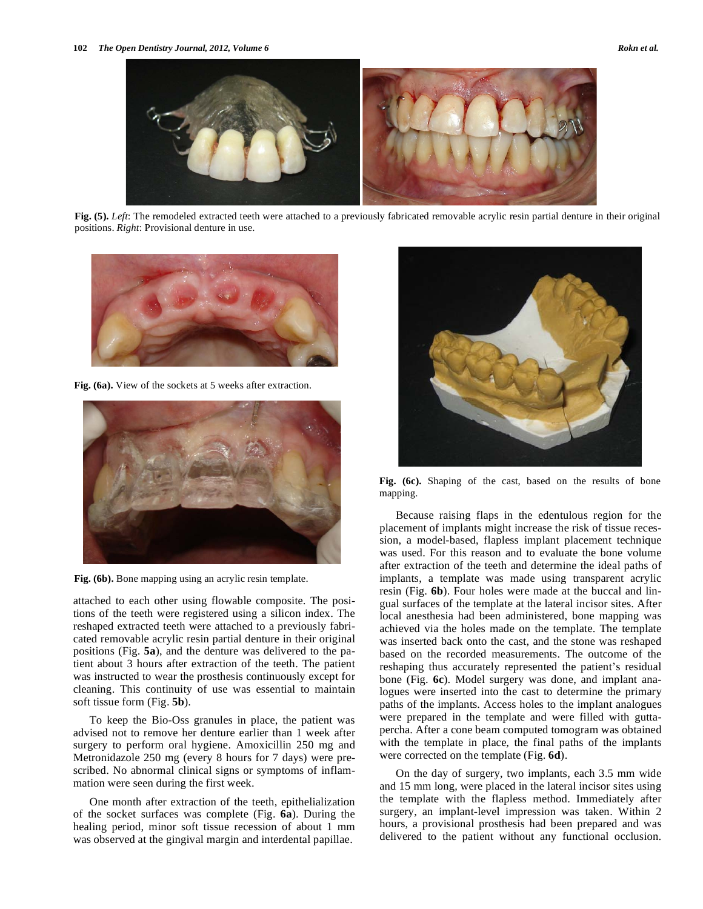

**Fig. (5).** *Left*: The remodeled extracted teeth were attached to a previously fabricated removable acrylic resin partial denture in their original positions. *Right*: Provisional denture in use.



**Fig. (6a).** View of the sockets at 5 weeks after extraction.



**Fig. (6b).** Bone mapping using an acrylic resin template.

attached to each other using flowable composite. The positions of the teeth were registered using a silicon index. The reshaped extracted teeth were attached to a previously fabricated removable acrylic resin partial denture in their original positions (Fig. **5a**), and the denture was delivered to the patient about 3 hours after extraction of the teeth. The patient was instructed to wear the prosthesis continuously except for cleaning. This continuity of use was essential to maintain soft tissue form (Fig. **5b**).

To keep the Bio-Oss granules in place, the patient was advised not to remove her denture earlier than 1 week after surgery to perform oral hygiene. Amoxicillin 250 mg and Metronidazole 250 mg (every 8 hours for 7 days) were prescribed. No abnormal clinical signs or symptoms of inflammation were seen during the first week.

One month after extraction of the teeth, epithelialization of the socket surfaces was complete (Fig. **6a**). During the healing period, minor soft tissue recession of about 1 mm was observed at the gingival margin and interdental papillae.



**Fig. (6c).** Shaping of the cast, based on the results of bone mapping.

Because raising flaps in the edentulous region for the placement of implants might increase the risk of tissue recession, a model-based, flapless implant placement technique was used. For this reason and to evaluate the bone volume after extraction of the teeth and determine the ideal paths of implants, a template was made using transparent acrylic resin (Fig. **6b**). Four holes were made at the buccal and lingual surfaces of the template at the lateral incisor sites. After local anesthesia had been administered, bone mapping was achieved via the holes made on the template. The template was inserted back onto the cast, and the stone was reshaped based on the recorded measurements. The outcome of the reshaping thus accurately represented the patient's residual bone (Fig. **6c**). Model surgery was done, and implant analogues were inserted into the cast to determine the primary paths of the implants. Access holes to the implant analogues were prepared in the template and were filled with guttapercha. After a cone beam computed tomogram was obtained with the template in place, the final paths of the implants were corrected on the template (Fig. **6d**).

On the day of surgery, two implants, each 3.5 mm wide and 15 mm long, were placed in the lateral incisor sites using the template with the flapless method. Immediately after surgery, an implant-level impression was taken. Within 2 hours, a provisional prosthesis had been prepared and was delivered to the patient without any functional occlusion.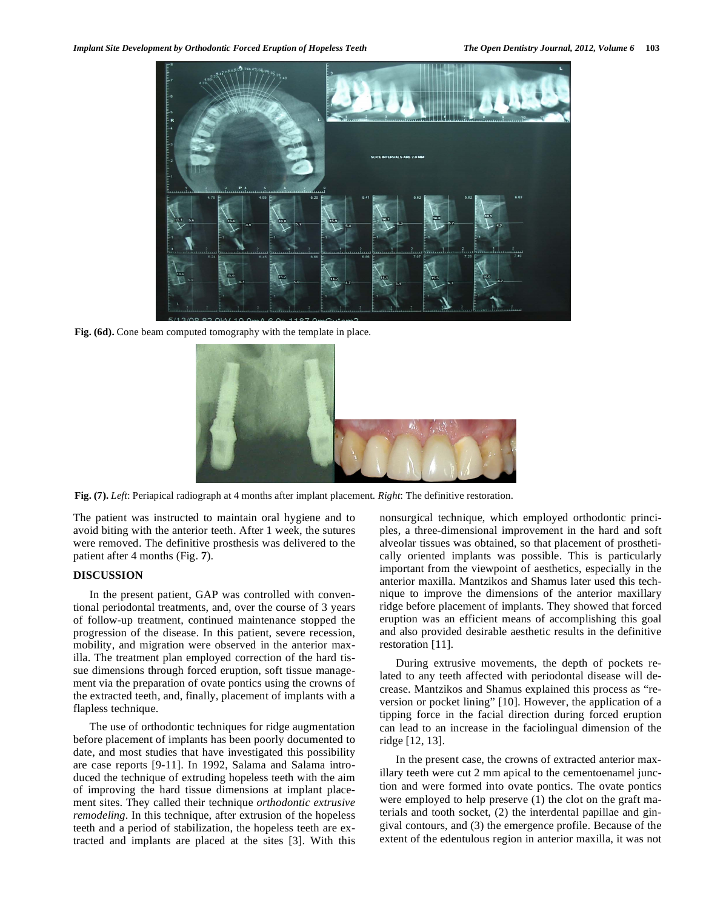

**Fig. (6d).** Cone beam computed tomography with the template in place.



**Fig. (7).** *Left*: Periapical radiograph at 4 months after implant placement. *Right*: The definitive restoration.

The patient was instructed to maintain oral hygiene and to avoid biting with the anterior teeth. After 1 week, the sutures were removed. The definitive prosthesis was delivered to the patient after 4 months (Fig. **7**).

#### **DISCUSSION**

In the present patient, GAP was controlled with conventional periodontal treatments, and, over the course of 3 years of follow-up treatment, continued maintenance stopped the progression of the disease. In this patient, severe recession, mobility, and migration were observed in the anterior maxilla. The treatment plan employed correction of the hard tissue dimensions through forced eruption, soft tissue management via the preparation of ovate pontics using the crowns of the extracted teeth, and, finally, placement of implants with a flapless technique.

The use of orthodontic techniques for ridge augmentation before placement of implants has been poorly documented to date, and most studies that have investigated this possibility are case reports [9-11]. In 1992, Salama and Salama introduced the technique of extruding hopeless teeth with the aim of improving the hard tissue dimensions at implant placement sites. They called their technique *orthodontic extrusive remodeling*. In this technique, after extrusion of the hopeless teeth and a period of stabilization, the hopeless teeth are extracted and implants are placed at the sites [3]. With this nonsurgical technique, which employed orthodontic principles, a three-dimensional improvement in the hard and soft alveolar tissues was obtained, so that placement of prosthetically oriented implants was possible. This is particularly important from the viewpoint of aesthetics, especially in the anterior maxilla. Mantzikos and Shamus later used this technique to improve the dimensions of the anterior maxillary ridge before placement of implants. They showed that forced eruption was an efficient means of accomplishing this goal and also provided desirable aesthetic results in the definitive restoration [11].

During extrusive movements, the depth of pockets related to any teeth affected with periodontal disease will decrease. Mantzikos and Shamus explained this process as "reversion or pocket lining" [10]. However, the application of a tipping force in the facial direction during forced eruption can lead to an increase in the faciolingual dimension of the ridge [12, 13].

In the present case, the crowns of extracted anterior maxillary teeth were cut 2 mm apical to the cementoenamel junction and were formed into ovate pontics. The ovate pontics were employed to help preserve (1) the clot on the graft materials and tooth socket, (2) the interdental papillae and gingival contours, and (3) the emergence profile. Because of the extent of the edentulous region in anterior maxilla, it was not